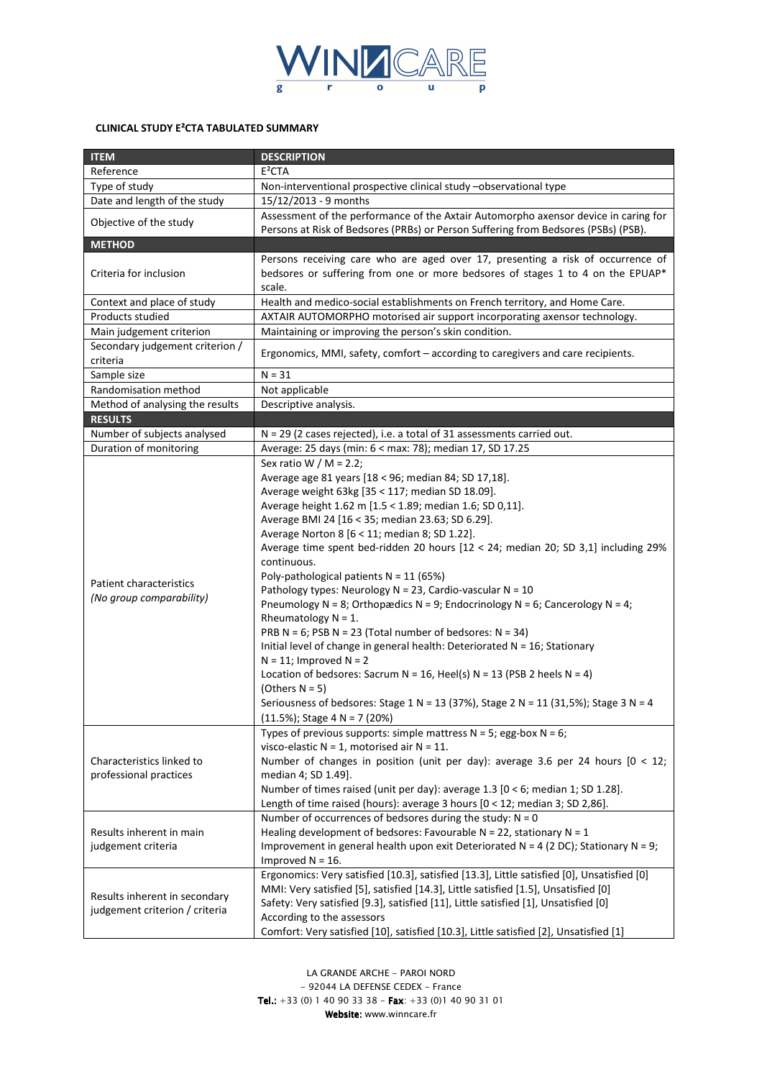

## **CLINICAL STUDY E²CTA TABULATED SUMMARY**

| <b>ITEM</b>                                                     | <b>DESCRIPTION</b>                                                                                                                                                                                                                                                                                                                                                                                                                                                                                                                                                                                                                                                                                                                                                                                                                                                                                                                                                                                                                  |
|-----------------------------------------------------------------|-------------------------------------------------------------------------------------------------------------------------------------------------------------------------------------------------------------------------------------------------------------------------------------------------------------------------------------------------------------------------------------------------------------------------------------------------------------------------------------------------------------------------------------------------------------------------------------------------------------------------------------------------------------------------------------------------------------------------------------------------------------------------------------------------------------------------------------------------------------------------------------------------------------------------------------------------------------------------------------------------------------------------------------|
| Reference                                                       | E <sup>2</sup> CTA                                                                                                                                                                                                                                                                                                                                                                                                                                                                                                                                                                                                                                                                                                                                                                                                                                                                                                                                                                                                                  |
| Type of study                                                   | Non-interventional prospective clinical study -observational type                                                                                                                                                                                                                                                                                                                                                                                                                                                                                                                                                                                                                                                                                                                                                                                                                                                                                                                                                                   |
| Date and length of the study                                    | 15/12/2013 - 9 months                                                                                                                                                                                                                                                                                                                                                                                                                                                                                                                                                                                                                                                                                                                                                                                                                                                                                                                                                                                                               |
| Objective of the study                                          | Assessment of the performance of the Axtair Automorpho axensor device in caring for<br>Persons at Risk of Bedsores (PRBs) or Person Suffering from Bedsores (PSBs) (PSB).                                                                                                                                                                                                                                                                                                                                                                                                                                                                                                                                                                                                                                                                                                                                                                                                                                                           |
| <b>METHOD</b>                                                   |                                                                                                                                                                                                                                                                                                                                                                                                                                                                                                                                                                                                                                                                                                                                                                                                                                                                                                                                                                                                                                     |
| Criteria for inclusion                                          | Persons receiving care who are aged over 17, presenting a risk of occurrence of<br>bedsores or suffering from one or more bedsores of stages 1 to 4 on the EPUAP*<br>scale.                                                                                                                                                                                                                                                                                                                                                                                                                                                                                                                                                                                                                                                                                                                                                                                                                                                         |
| Context and place of study                                      | Health and medico-social establishments on French territory, and Home Care.                                                                                                                                                                                                                                                                                                                                                                                                                                                                                                                                                                                                                                                                                                                                                                                                                                                                                                                                                         |
| Products studied                                                | AXTAIR AUTOMORPHO motorised air support incorporating axensor technology.                                                                                                                                                                                                                                                                                                                                                                                                                                                                                                                                                                                                                                                                                                                                                                                                                                                                                                                                                           |
| Main judgement criterion                                        | Maintaining or improving the person's skin condition.                                                                                                                                                                                                                                                                                                                                                                                                                                                                                                                                                                                                                                                                                                                                                                                                                                                                                                                                                                               |
| Secondary judgement criterion /<br>criteria                     | Ergonomics, MMI, safety, comfort - according to caregivers and care recipients.                                                                                                                                                                                                                                                                                                                                                                                                                                                                                                                                                                                                                                                                                                                                                                                                                                                                                                                                                     |
| Sample size                                                     | $N = 31$                                                                                                                                                                                                                                                                                                                                                                                                                                                                                                                                                                                                                                                                                                                                                                                                                                                                                                                                                                                                                            |
| Randomisation method                                            | Not applicable                                                                                                                                                                                                                                                                                                                                                                                                                                                                                                                                                                                                                                                                                                                                                                                                                                                                                                                                                                                                                      |
| Method of analysing the results                                 | Descriptive analysis.                                                                                                                                                                                                                                                                                                                                                                                                                                                                                                                                                                                                                                                                                                                                                                                                                                                                                                                                                                                                               |
| <b>RESULTS</b>                                                  |                                                                                                                                                                                                                                                                                                                                                                                                                                                                                                                                                                                                                                                                                                                                                                                                                                                                                                                                                                                                                                     |
| Number of subjects analysed                                     | N = 29 (2 cases rejected), i.e. a total of 31 assessments carried out.                                                                                                                                                                                                                                                                                                                                                                                                                                                                                                                                                                                                                                                                                                                                                                                                                                                                                                                                                              |
| Duration of monitoring                                          | Average: 25 days (min: 6 < max: 78); median 17, SD 17.25                                                                                                                                                                                                                                                                                                                                                                                                                                                                                                                                                                                                                                                                                                                                                                                                                                                                                                                                                                            |
| Patient characteristics<br>(No group comparability)             | Sex ratio W / M = 2.2;<br>Average age 81 years [18 < 96; median 84; SD 17,18].<br>Average weight 63kg [35 < 117; median SD 18.09].<br>Average height 1.62 m [1.5 < 1.89; median 1.6; SD 0,11].<br>Average BMI 24 [16 < 35; median 23.63; SD 6.29].<br>Average Norton 8 [6 < 11; median 8; SD 1.22].<br>Average time spent bed-ridden 20 hours [12 < 24; median 20; SD 3,1] including 29%<br>continuous.<br>Poly-pathological patients $N = 11$ (65%)<br>Pathology types: Neurology N = 23, Cardio-vascular N = 10<br>Pneumology N = 8; Orthopædics N = 9; Endocrinology N = 6; Cancerology N = 4;<br>Rheumatology $N = 1$ .<br>PRB N = 6; PSB N = 23 (Total number of bedsores: $N = 34$ )<br>Initial level of change in general health: Deteriorated N = 16; Stationary<br>$N = 11$ ; Improved $N = 2$<br>Location of bedsores: Sacrum N = 16, Heel(s) N = 13 (PSB 2 heels N = 4)<br>(Others $N = 5$ )<br>Seriousness of bedsores: Stage 1 N = 13 (37%), Stage 2 N = 11 (31,5%); Stage 3 N = 4<br>$(11.5\%)$ ; Stage 4 N = 7 (20%) |
| Characteristics linked to<br>professional practices             | Types of previous supports: simple mattress $N = 5$ ; egg-box $N = 6$ ;<br>visco-elastic $N = 1$ , motorised air $N = 11$ .<br>Number of changes in position (unit per day): average 3.6 per 24 hours $[0 < 12;$<br>median 4; SD 1.49].<br>Number of times raised (unit per day): average 1.3 [0 < 6; median 1; SD 1.28].<br>Length of time raised (hours): average 3 hours [0 < 12; median 3; SD 2,86].<br>Number of occurrences of bedsores during the study: $N = 0$                                                                                                                                                                                                                                                                                                                                                                                                                                                                                                                                                             |
| Results inherent in main<br>judgement criteria                  | Healing development of bedsores: Favourable N = 22, stationary N = $1$<br>Improvement in general health upon exit Deteriorated $N = 4$ (2 DC); Stationary N = 9;<br>Improved $N = 16$ .                                                                                                                                                                                                                                                                                                                                                                                                                                                                                                                                                                                                                                                                                                                                                                                                                                             |
| Results inherent in secondary<br>judgement criterion / criteria | Ergonomics: Very satisfied [10.3], satisfied [13.3], Little satisfied [0], Unsatisfied [0]<br>MMI: Very satisfied [5], satisfied [14.3], Little satisfied [1.5], Unsatisfied [0]<br>Safety: Very satisfied [9.3], satisfied [11], Little satisfied [1], Unsatisfied [0]<br>According to the assessors<br>Comfort: Very satisfied [10], satisfied [10.3], Little satisfied [2], Unsatisfied [1]                                                                                                                                                                                                                                                                                                                                                                                                                                                                                                                                                                                                                                      |

*LA GRANDE ARCHE - PAROI NORD - 92044 LA DEFENSE CEDEX - France Tel.: +33 (0) 1 40 90 33 38 - Fax Tel.: Fax: +33 (0)1 40 90 31 01 Website: www.winncare.fr Website:*